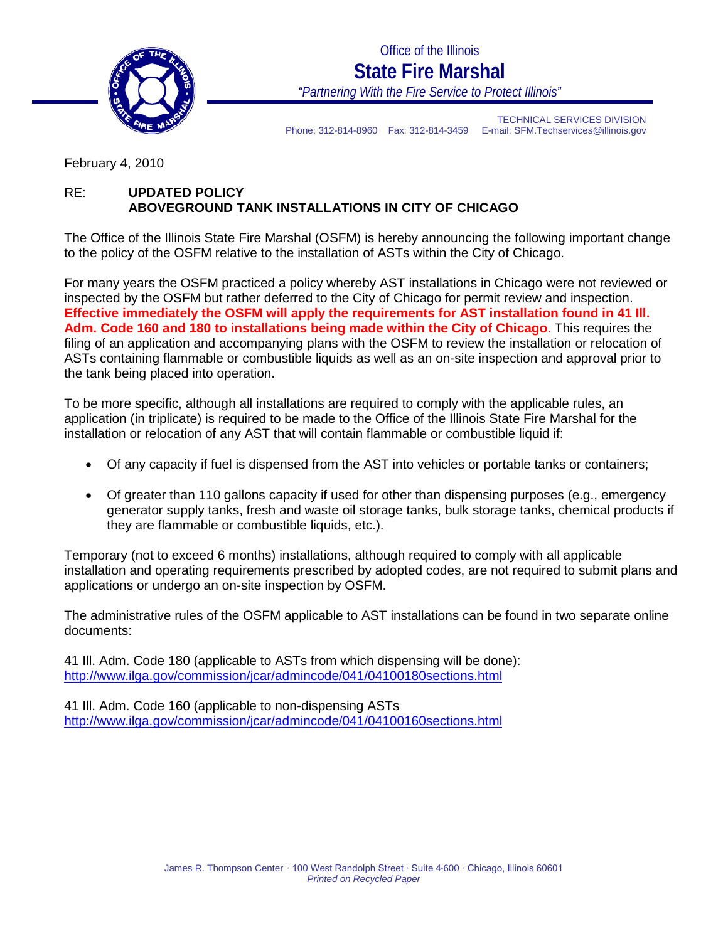

Office of the Illinois **State Fire Marshal** *"Partnering With the Fire Service to Protect Illinois"*

TECHNICAL SERVICES DIVISION Phone: 312-814-8960 Fax: 312-814-3459 E-mail: SFM.Techservices@illinois.gov

February 4, 2010

## RE: **UPDATED POLICY ABOVEGROUND TANK INSTALLATIONS IN CITY OF CHICAGO**

The Office of the Illinois State Fire Marshal (OSFM) is hereby announcing the following important change to the policy of the OSFM relative to the installation of ASTs within the City of Chicago.

For many years the OSFM practiced a policy whereby AST installations in Chicago were not reviewed or inspected by the OSFM but rather deferred to the City of Chicago for permit review and inspection. **Effective immediately the OSFM will apply the requirements for AST installation found in 41 Ill. Adm. Code 160 and 180 to installations being made within the City of Chicago**. This requires the filing of an application and accompanying plans with the OSFM to review the installation or relocation of ASTs containing flammable or combustible liquids as well as an on-site inspection and approval prior to the tank being placed into operation.

To be more specific, although all installations are required to comply with the applicable rules, an application (in triplicate) is required to be made to the Office of the Illinois State Fire Marshal for the installation or relocation of any AST that will contain flammable or combustible liquid if:

- Of any capacity if fuel is dispensed from the AST into vehicles or portable tanks or containers;
- Of greater than 110 gallons capacity if used for other than dispensing purposes (e.g., emergency generator supply tanks, fresh and waste oil storage tanks, bulk storage tanks, chemical products if they are flammable or combustible liquids, etc.).

Temporary (not to exceed 6 months) installations, although required to comply with all applicable installation and operating requirements prescribed by adopted codes, are not required to submit plans and applications or undergo an on-site inspection by OSFM.

The administrative rules of the OSFM applicable to AST installations can be found in two separate online documents:

41 Ill. Adm. Code 180 (applicable to ASTs from which dispensing will be done): <http://www.ilga.gov/commission/jcar/admincode/041/04100180sections.html>

41 Ill. Adm. Code 160 (applicable to non-dispensing ASTs <http://www.ilga.gov/commission/jcar/admincode/041/04100160sections.html>